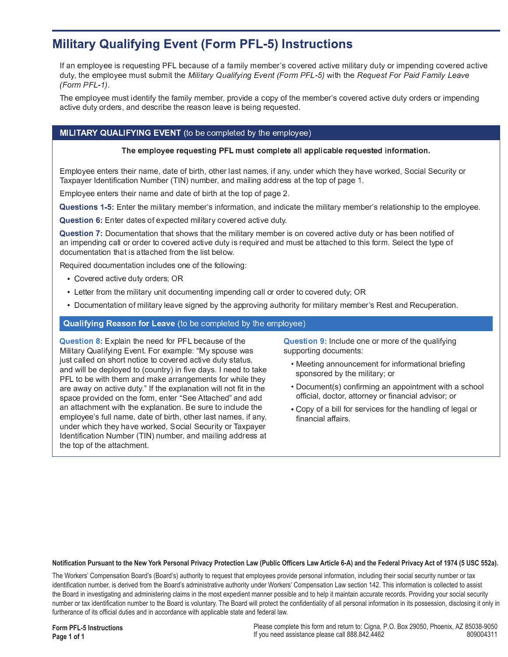# **Military Qualifying Event (Form PFL-5) Instructions**

If an employee is requesting PFL because of a family member's covered active military duty or impending covered active duty, the employee must submit the Military Qualifying Event (Form PFL-5) with the Request For Paid Family Leave  $(Form PFL-1)$ .

The employee must identify the family member, provide a copy of the member's covered active duty orders or impending active duty orders, and describe the reason leave is being requested.

## MILITARY QUALIFYING EVENT (to be completed by the employee)

#### The employee requesting PFL must complete all applicable requested information.

Employee enters their name, date of birth, other last names, if any, under which they have worked, Social Security or Taxpayer Identification Number (TIN) number, and mailing address at the top of page 1.

Employee enters their name and date of birth at the top of page 2.

Questions 1-5: Enter the military member's information, and indicate the military member's relationship to the employee.

Question 6: Enter dates of expected military covered active duty.

Question 7: Documentation that shows that the military member is on covered active duty or has been notified of an impending call or order to covered active duty is required and must be attached to this form. Select the type of documentation that is attached from the list below.

Required documentation includes one of the following:

- Covered active duty orders; OR
- Letter from the military unit documenting impending call or order to covered duty; OR
- Documentation of military leave signed by the approving authority for military member's Rest and Recuperation.

### Qualifying Reason for Leave (to be completed by the employee)

Question 8: Explain the need for PFL because of the Military Qualifying Event. For example: "My spouse was just called on short notice to covered active duty status, and will be deployed to (country) in five days. I need to take PFL to be with them and make arrangements for while they are away on active duty." If the explanation will not fit in the space provided on the form, enter "See Attached" and add an attachment with the explanation. Be sure to include the employee's full name, date of birth, other last names, if any, under which they have worked. Social Security or Taxpayer Identification Number (TIN) number, and mailing address at the top of the attachment.

Question 9: Include one or more of the qualifying supporting documents:

- Meeting announcement for informational briefing sponsored by the military; or
- Document(s) confirming an appointment with a school official, doctor, attorney or financial advisor; or
- . Copy of a bill for services for the handling of legal or financial affairs.

#### Notification Pursuant to the New York Personal Privacy Protection Law (Public Officers Law Article 6-A) and the Federal Privacy Act of 1974 (5 USC 552a).

The Workers' Compensation Board's (Board's) authority to request that employees provide personal information, including their social security number or tax identification number, is derived from the Board's administrative authority under Workers' Compensation Law section 142. This information is collected to assist the Board in investigating and administering claims in the most expedient manner possible and to help it maintain accurate records. Providing your social security number or tax identification number to the Board is voluntary. The Board will protect the confidentiality of all personal information in its possession, disclosing it only in furtherance of its official duties and in accordance with applicable state and federal law.

**Form PFL-5 Instructions** Page 1 of 1

Please complete this form and return to: Cigna, P.O. Box 29050, Phoenix, AZ 85038-9050 If you need assistance please call 888.842.4462 809004311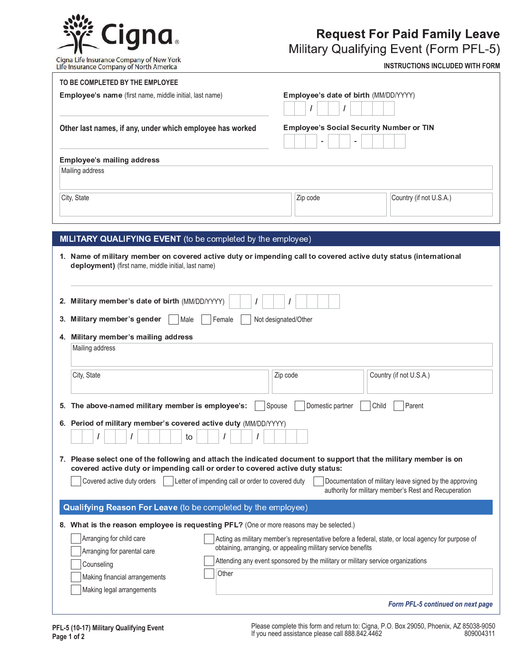

# **Request For Paid Family Leave**

Military Qualifying Event (Form PFL-5)

Cigna Life Insurance Company of New York<br>Life Insurance Company of North America

**INSTRUCTIONS INCLUDED WITH FORM**

| Employee's date of birth (MM/DD/YYYY)<br>Employee's name (first name, middle initial, last name)<br>Other last names, if any, under which employee has worked<br><b>Employee's Social Security Number or TIN</b><br><b>Employee's mailing address</b><br>Mailing address<br>Country (if not U.S.A.)<br>City, State<br>Zip code<br>MILITARY QUALIFYING EVENT (to be completed by the employee)<br>1. Name of military member on covered active duty or impending call to covered active duty status (international<br>deployment) (first name, middle initial, last name)<br>2. Military member's date of birth (MM/DD/YYYY)<br>3. Military member's gender<br>Female<br>Not designated/Other<br>Male<br>4. Military member's mailing address<br>Mailing address<br>City, State<br>Zip code<br>Country (if not U.S.A.)<br>5. The above-named military member is employee's:<br>Spouse<br>Domestic partner<br>Child<br>Parent<br>6. Period of military member's covered active duty (MM/DD/YYYY)<br>to<br>7. Please select one of the following and attach the indicated document to support that the military member is on<br>covered active duty or impending call or order to covered active duty status:<br>Covered active duty orders<br>Letter of impending call or order to covered duty<br>Documentation of military leave signed by the approving<br>authority for military member's Rest and Recuperation<br>Qualifying Reason For Leave (to be completed by the employee)<br>8. What is the reason employee is requesting PFL? (One or more reasons may be selected.)<br>Arranging for child care<br>Acting as military member's representative before a federal, state, or local agency for purpose of<br>obtaining, arranging, or appealing military service benefits<br>Arranging for parental care<br>Attending any event sponsored by the military or military service organizations<br>Counseling<br>Other<br>Making financial arrangements | TO BE COMPLETED BY THE EMPLOYEE |                                   |
|------------------------------------------------------------------------------------------------------------------------------------------------------------------------------------------------------------------------------------------------------------------------------------------------------------------------------------------------------------------------------------------------------------------------------------------------------------------------------------------------------------------------------------------------------------------------------------------------------------------------------------------------------------------------------------------------------------------------------------------------------------------------------------------------------------------------------------------------------------------------------------------------------------------------------------------------------------------------------------------------------------------------------------------------------------------------------------------------------------------------------------------------------------------------------------------------------------------------------------------------------------------------------------------------------------------------------------------------------------------------------------------------------------------------------------------------------------------------------------------------------------------------------------------------------------------------------------------------------------------------------------------------------------------------------------------------------------------------------------------------------------------------------------------------------------------------------------------------------------------------------------------------------------------------------------------------------------|---------------------------------|-----------------------------------|
|                                                                                                                                                                                                                                                                                                                                                                                                                                                                                                                                                                                                                                                                                                                                                                                                                                                                                                                                                                                                                                                                                                                                                                                                                                                                                                                                                                                                                                                                                                                                                                                                                                                                                                                                                                                                                                                                                                                                                            |                                 |                                   |
|                                                                                                                                                                                                                                                                                                                                                                                                                                                                                                                                                                                                                                                                                                                                                                                                                                                                                                                                                                                                                                                                                                                                                                                                                                                                                                                                                                                                                                                                                                                                                                                                                                                                                                                                                                                                                                                                                                                                                            |                                 |                                   |
|                                                                                                                                                                                                                                                                                                                                                                                                                                                                                                                                                                                                                                                                                                                                                                                                                                                                                                                                                                                                                                                                                                                                                                                                                                                                                                                                                                                                                                                                                                                                                                                                                                                                                                                                                                                                                                                                                                                                                            |                                 |                                   |
|                                                                                                                                                                                                                                                                                                                                                                                                                                                                                                                                                                                                                                                                                                                                                                                                                                                                                                                                                                                                                                                                                                                                                                                                                                                                                                                                                                                                                                                                                                                                                                                                                                                                                                                                                                                                                                                                                                                                                            |                                 |                                   |
|                                                                                                                                                                                                                                                                                                                                                                                                                                                                                                                                                                                                                                                                                                                                                                                                                                                                                                                                                                                                                                                                                                                                                                                                                                                                                                                                                                                                                                                                                                                                                                                                                                                                                                                                                                                                                                                                                                                                                            |                                 |                                   |
|                                                                                                                                                                                                                                                                                                                                                                                                                                                                                                                                                                                                                                                                                                                                                                                                                                                                                                                                                                                                                                                                                                                                                                                                                                                                                                                                                                                                                                                                                                                                                                                                                                                                                                                                                                                                                                                                                                                                                            |                                 |                                   |
|                                                                                                                                                                                                                                                                                                                                                                                                                                                                                                                                                                                                                                                                                                                                                                                                                                                                                                                                                                                                                                                                                                                                                                                                                                                                                                                                                                                                                                                                                                                                                                                                                                                                                                                                                                                                                                                                                                                                                            |                                 |                                   |
|                                                                                                                                                                                                                                                                                                                                                                                                                                                                                                                                                                                                                                                                                                                                                                                                                                                                                                                                                                                                                                                                                                                                                                                                                                                                                                                                                                                                                                                                                                                                                                                                                                                                                                                                                                                                                                                                                                                                                            |                                 |                                   |
|                                                                                                                                                                                                                                                                                                                                                                                                                                                                                                                                                                                                                                                                                                                                                                                                                                                                                                                                                                                                                                                                                                                                                                                                                                                                                                                                                                                                                                                                                                                                                                                                                                                                                                                                                                                                                                                                                                                                                            |                                 |                                   |
|                                                                                                                                                                                                                                                                                                                                                                                                                                                                                                                                                                                                                                                                                                                                                                                                                                                                                                                                                                                                                                                                                                                                                                                                                                                                                                                                                                                                                                                                                                                                                                                                                                                                                                                                                                                                                                                                                                                                                            |                                 |                                   |
|                                                                                                                                                                                                                                                                                                                                                                                                                                                                                                                                                                                                                                                                                                                                                                                                                                                                                                                                                                                                                                                                                                                                                                                                                                                                                                                                                                                                                                                                                                                                                                                                                                                                                                                                                                                                                                                                                                                                                            |                                 |                                   |
|                                                                                                                                                                                                                                                                                                                                                                                                                                                                                                                                                                                                                                                                                                                                                                                                                                                                                                                                                                                                                                                                                                                                                                                                                                                                                                                                                                                                                                                                                                                                                                                                                                                                                                                                                                                                                                                                                                                                                            |                                 |                                   |
|                                                                                                                                                                                                                                                                                                                                                                                                                                                                                                                                                                                                                                                                                                                                                                                                                                                                                                                                                                                                                                                                                                                                                                                                                                                                                                                                                                                                                                                                                                                                                                                                                                                                                                                                                                                                                                                                                                                                                            |                                 |                                   |
|                                                                                                                                                                                                                                                                                                                                                                                                                                                                                                                                                                                                                                                                                                                                                                                                                                                                                                                                                                                                                                                                                                                                                                                                                                                                                                                                                                                                                                                                                                                                                                                                                                                                                                                                                                                                                                                                                                                                                            |                                 |                                   |
|                                                                                                                                                                                                                                                                                                                                                                                                                                                                                                                                                                                                                                                                                                                                                                                                                                                                                                                                                                                                                                                                                                                                                                                                                                                                                                                                                                                                                                                                                                                                                                                                                                                                                                                                                                                                                                                                                                                                                            |                                 |                                   |
|                                                                                                                                                                                                                                                                                                                                                                                                                                                                                                                                                                                                                                                                                                                                                                                                                                                                                                                                                                                                                                                                                                                                                                                                                                                                                                                                                                                                                                                                                                                                                                                                                                                                                                                                                                                                                                                                                                                                                            |                                 |                                   |
|                                                                                                                                                                                                                                                                                                                                                                                                                                                                                                                                                                                                                                                                                                                                                                                                                                                                                                                                                                                                                                                                                                                                                                                                                                                                                                                                                                                                                                                                                                                                                                                                                                                                                                                                                                                                                                                                                                                                                            |                                 |                                   |
|                                                                                                                                                                                                                                                                                                                                                                                                                                                                                                                                                                                                                                                                                                                                                                                                                                                                                                                                                                                                                                                                                                                                                                                                                                                                                                                                                                                                                                                                                                                                                                                                                                                                                                                                                                                                                                                                                                                                                            |                                 |                                   |
|                                                                                                                                                                                                                                                                                                                                                                                                                                                                                                                                                                                                                                                                                                                                                                                                                                                                                                                                                                                                                                                                                                                                                                                                                                                                                                                                                                                                                                                                                                                                                                                                                                                                                                                                                                                                                                                                                                                                                            |                                 |                                   |
|                                                                                                                                                                                                                                                                                                                                                                                                                                                                                                                                                                                                                                                                                                                                                                                                                                                                                                                                                                                                                                                                                                                                                                                                                                                                                                                                                                                                                                                                                                                                                                                                                                                                                                                                                                                                                                                                                                                                                            |                                 |                                   |
|                                                                                                                                                                                                                                                                                                                                                                                                                                                                                                                                                                                                                                                                                                                                                                                                                                                                                                                                                                                                                                                                                                                                                                                                                                                                                                                                                                                                                                                                                                                                                                                                                                                                                                                                                                                                                                                                                                                                                            |                                 |                                   |
|                                                                                                                                                                                                                                                                                                                                                                                                                                                                                                                                                                                                                                                                                                                                                                                                                                                                                                                                                                                                                                                                                                                                                                                                                                                                                                                                                                                                                                                                                                                                                                                                                                                                                                                                                                                                                                                                                                                                                            |                                 |                                   |
|                                                                                                                                                                                                                                                                                                                                                                                                                                                                                                                                                                                                                                                                                                                                                                                                                                                                                                                                                                                                                                                                                                                                                                                                                                                                                                                                                                                                                                                                                                                                                                                                                                                                                                                                                                                                                                                                                                                                                            | Making legal arrangements       |                                   |
|                                                                                                                                                                                                                                                                                                                                                                                                                                                                                                                                                                                                                                                                                                                                                                                                                                                                                                                                                                                                                                                                                                                                                                                                                                                                                                                                                                                                                                                                                                                                                                                                                                                                                                                                                                                                                                                                                                                                                            |                                 | Form PFL-5 continued on next page |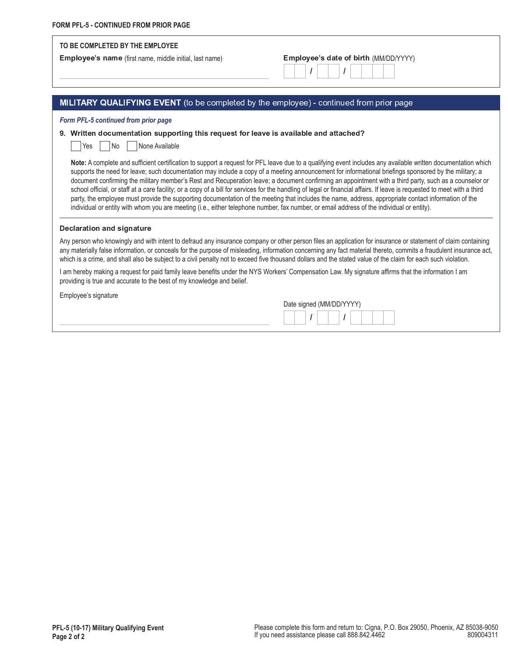#### **70 BE COMPLETED BY THE EMPLOYEE**

Employee's name (first name, middle initial, last name)

|  |  |  |  |  | Employee's date of birth (MM/DD/YYYY) |  |
|--|--|--|--|--|---------------------------------------|--|
|  |  |  |  |  |                                       |  |

### MILITARY QUALIFYING EVENT (to be completed by the employee) - continued from prior page

*Form PFL-5 continued from prior page*

#### 9. Written documentation supporting this request for leave is available and attached?

 $Yes$  | No | None Available

Note: A complete and sufficient certification to support a request for PFL leave due to a qualifying event includes any available written documentation which supports the need for leave; such documentation may include a copy of a meeting announcement for informational briefings sponsored by the military; a document confirming the military member's Rest and Recuperation leave; a document confirming an appointment with a third party, such as a counselor or school official, or staff at a care facility; or a copy of a bill for services for the handling of legal or financial affairs. If leave is requested to meet with a third party, the employee must provide the supporting documentation of the meeting that includes the name, address, appropriate contact information of the individual or entity with whom you are meeting (i.e., either telephone number, fax number, or email address of the individual or entity).

#### Declaration and signature

Any person who knowingly and with intent to defraud any insurance company or other person files an application for insurance or statement of claim containing any materially false information, or conceals for the purpose of misleading, information concerning any fact material thereto, commits a fraudulent insurance act, which is a crime, and shall also be subject to a civil penalty not to exceed five thousand dollars and the stated value of the claim for each such violation.

I am hereby making a request for paid family leave benefits under the NYS Workers' Compensation Law. My signature affirms that the information I am providing is true and accurate to the best of my knowledge and belief.

Employee's signature

| Date signed (MM/DD/YYYY) |  |  |  |  |
|--------------------------|--|--|--|--|
|                          |  |  |  |  |